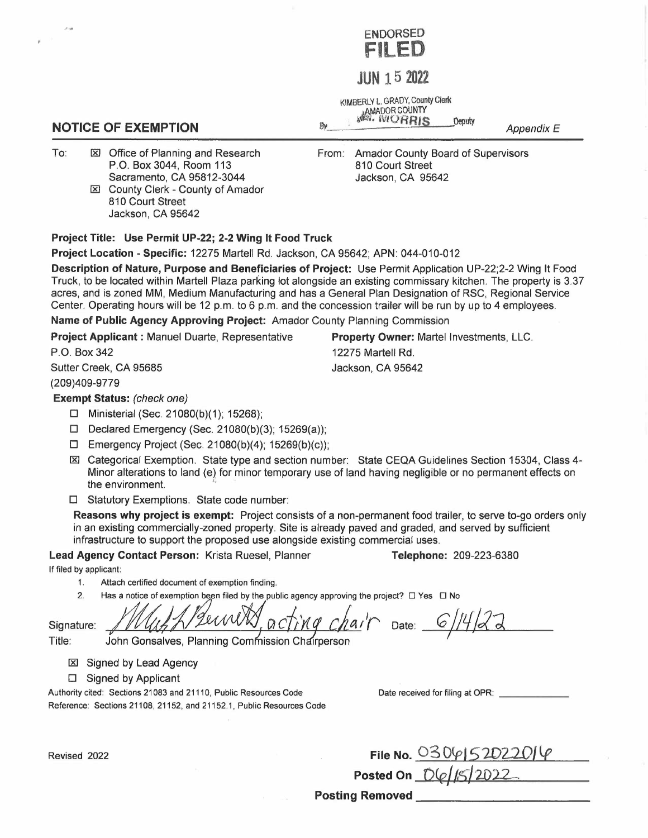

## **JUN 15 2022**

KIMBERLY L. GRADY, county Clerk ~AMADOR COUNTY • 1,llillj. IVtURRIS peputy

*Appendix E* 

To:  $\boxtimes$  Office of Planning and Research P.O. Box 3044, Room 113 Sacramento, CA 95812-3044

**NOTICE OF EXEMPTION** 

IRl County Clerk - County of Amador 810 Court Street Jackson, CA 95642

## From: Amador County Board of Supervisors 810 Court Street Jackson, CA 95642

**Property Owner:** Martel Investments, LLC.

12275 Martell Rd. Jackson, CA 95642

## **Project Title: Use Permit UP-22; 2-2 Wing It Food Truck**

**Project Location - Specific:** 12275 Martell Rd. Jackson, CA 95642; APN: 044-010-012

**Description of Nature, Purpose and Beneficiaries of Project:** Use Permit Application UP-22;2-2 Wing It Food Truck, to be located within Martell Plaza parking lot alongside an existing commissary kitchen. The property is 3.37 acres, and is zoned MM, Medium Manufacturing and has a General Plan Designation of RSC, Regional Service Center. Operating hours will be 12 p.m. to 6 p.m. and the concession trailer will be run by up to 4 employees.

By

**Name of Public Agency Approving Project:** Amador County Planning Commission

**Project Applicant :** Manuel Duarte, Representative

P.O. Box 342 Sutter Creek, CA 95685

(209)409-9779

**Exempt Status:** *(check one)* 

- □ Ministerial (Sec. 21080(b)(1); 15268);
- □ Declared Emergency (Sec. 21080(b)(3); 15269(a));
- □ Emergency Project (Sec. 21080(b)(4); 15269(b)(c));
- IRl Categorical Exemption. State type and section number: State CEQA Guidelines Section 15304, Class 4- Minor alterations to land (e) for minor temporary use of land having negligible or no permanent effects on the environment.
- □ Statutory Exemptions. State code number:

**Reasons why project is exempt:** Project consists of a non-permanent food trailer, to serve to-go orders only in an existing commercially-zoned property. Site is already paved and graded, and served by sufficient infrastructure to support the proposed use alongside existing commercial uses.

**Lead Agency Contact Person:** Krista Ruesel, Planner **Telephone:** 209-223-6380

If filed by applicant:

- 1.
- 1. Attach certified document of exemption finding.<br>2. Has a notice of exemption been filed by the public agency approving the project?  $\Box$  Yes  $\Box$  No

Signature:

ng chair Date: 6/14/22

Title: John Gonsalves, Planning Commission Chairperson

**IXI** Signed by Lead Agency

□ Signed by Applicant

Authority cited: Sections 21083 and 21110, Public Resources Code Reference: Sections 21108, 21152, and 21152.1, Public Resources Code Date received for filing at OPR:

| Revised 2022 | File No. 0306/52022016 |  |
|--------------|------------------------|--|
|              | Posted On 06/15/2022   |  |

**Posting Removed \_**